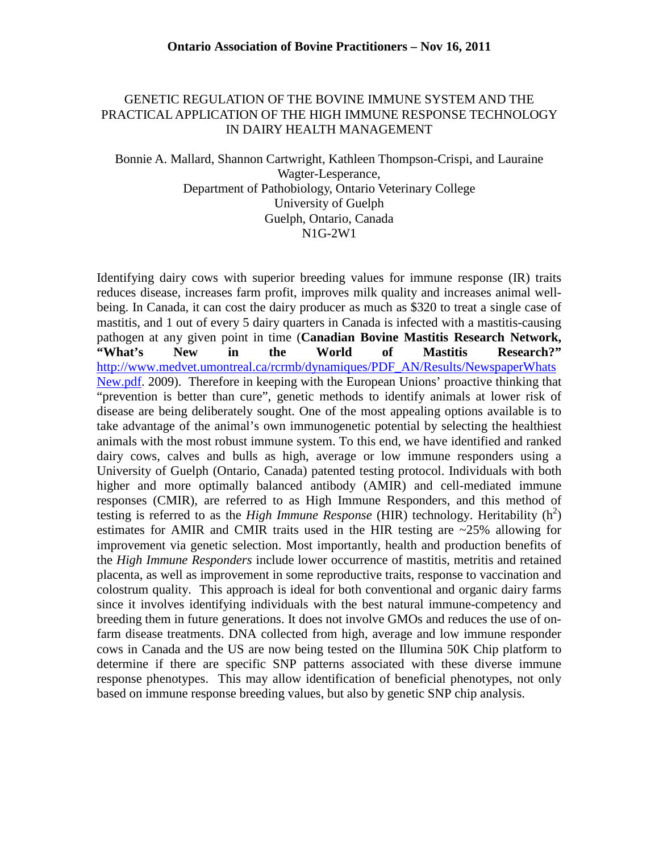### GENETIC REGULATION OF THE BOVINE IMMUNE SYSTEM AND THE PRACTICAL APPLICATION OF THE HIGH IMMUNE RESPONSE TECHNOLOGY IN DAIRY HEALTH MANAGEMENT

Bonnie A. Mallard, Shannon Cartwright, Kathleen Thompson-Crispi, and Lauraine Wagter-Lesperance, Department of Pathobiology, Ontario Veterinary College University of Guelph Guelph, Ontario, Canada N1G-2W1

Identifying dairy cows with superior breeding values for immune response (IR) traits reduces disease, increases farm profit, improves milk quality and increases animal wellbeing. In Canada, it can cost the dairy producer as much as \$320 to treat a single case of mastitis, and 1 out of every 5 dairy quarters in Canada is infected with a mastitis-causing pathogen at any given point in time (**Canadian Bovine Mastitis Research Network, "What's New in the World of Mastitis Research?"** [http://www.medvet.umontreal.ca/rcrmb/dynamiques/PDF\\_AN/Results/NewspaperWhats](http://www.medvet.umontreal.ca/rcrmb/dynamiques/PDF_AN/Results/NewspaperWhatsNew.pdf) [New.pdf.](http://www.medvet.umontreal.ca/rcrmb/dynamiques/PDF_AN/Results/NewspaperWhatsNew.pdf) 2009). Therefore in keeping with the European Unions' proactive thinking that "prevention is better than cure", genetic methods to identify animals at lower risk of disease are being deliberately sought. One of the most appealing options available is to take advantage of the animal's own immunogenetic potential by selecting the healthiest animals with the most robust immune system. To this end, we have identified and ranked dairy cows, calves and bulls as high, average or low immune responders using a University of Guelph (Ontario, Canada) patented testing protocol. Individuals with both higher and more optimally balanced antibody (AMIR) and cell-mediated immune responses (CMIR), are referred to as High Immune Responders, and this method of testing is referred to as the *High Immune Response* (HIR) technology. Heritability  $(h^2)$ estimates for AMIR and CMIR traits used in the HIR testing are  $\approx$  25% allowing for improvement via genetic selection. Most importantly, health and production benefits of the *High Immune Responders* include lower occurrence of mastitis, metritis and retained placenta, as well as improvement in some reproductive traits, response to vaccination and colostrum quality. This approach is ideal for both conventional and organic dairy farms since it involves identifying individuals with the best natural immune-competency and breeding them in future generations. It does not involve GMOs and reduces the use of onfarm disease treatments. DNA collected from high, average and low immune responder cows in Canada and the US are now being tested on the Illumina 50K Chip platform to determine if there are specific SNP patterns associated with these diverse immune response phenotypes. This may allow identification of beneficial phenotypes, not only based on immune response breeding values, but also by genetic SNP chip analysis.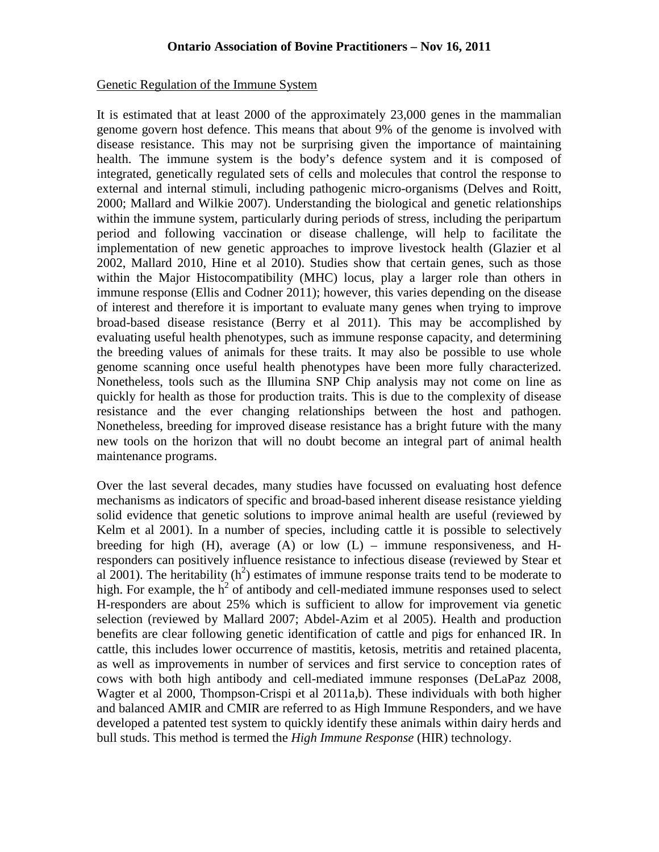### Genetic Regulation of the Immune System

It is estimated that at least 2000 of the approximately 23,000 genes in the mammalian genome govern host defence. This means that about 9% of the genome is involved with disease resistance. This may not be surprising given the importance of maintaining health. The immune system is the body's defence system and it is composed of integrated, genetically regulated sets of cells and molecules that control the response to external and internal stimuli, including pathogenic micro-organisms (Delves and Roitt, 2000; Mallard and Wilkie 2007). Understanding the biological and genetic relationships within the immune system, particularly during periods of stress, including the peripartum period and following vaccination or disease challenge, will help to facilitate the implementation of new genetic approaches to improve livestock health (Glazier et al 2002, Mallard 2010, Hine et al 2010). Studies show that certain genes, such as those within the Major Histocompatibility (MHC) locus, play a larger role than others in immune response (Ellis and Codner 2011); however, this varies depending on the disease of interest and therefore it is important to evaluate many genes when trying to improve broad-based disease resistance (Berry et al 2011). This may be accomplished by evaluating useful health phenotypes, such as immune response capacity, and determining the breeding values of animals for these traits. It may also be possible to use whole genome scanning once useful health phenotypes have been more fully characterized. Nonetheless, tools such as the Illumina SNP Chip analysis may not come on line as quickly for health as those for production traits. This is due to the complexity of disease resistance and the ever changing relationships between the host and pathogen. Nonetheless, breeding for improved disease resistance has a bright future with the many new tools on the horizon that will no doubt become an integral part of animal health maintenance programs.

Over the last several decades, many studies have focussed on evaluating host defence mechanisms as indicators of specific and broad-based inherent disease resistance yielding solid evidence that genetic solutions to improve animal health are useful (reviewed by Kelm et al 2001). In a number of species, including cattle it is possible to selectively breeding for high  $(H)$ , average  $(A)$  or low  $(L)$  – immune responsiveness, and Hresponders can positively influence resistance to infectious disease (reviewed by Stear et al 2001). The heritability  $(h^2)$  estimates of immune response traits tend to be moderate to high. For example, the  $h^2$  of antibody and cell-mediated immune responses used to select H-responders are about 25% which is sufficient to allow for improvement via genetic selection (reviewed by Mallard 2007; Abdel-Azim et al 2005). Health and production benefits are clear following genetic identification of cattle and pigs for enhanced IR. In cattle, this includes lower occurrence of mastitis, ketosis, metritis and retained placenta, as well as improvements in number of services and first service to conception rates of cows with both high antibody and cell-mediated immune responses (DeLaPaz 2008, Wagter et al 2000, Thompson-Crispi et al 2011a,b). These individuals with both higher and balanced AMIR and CMIR are referred to as High Immune Responders, and we have developed a patented test system to quickly identify these animals within dairy herds and bull studs. This method is termed the *High Immune Response* (HIR) technology.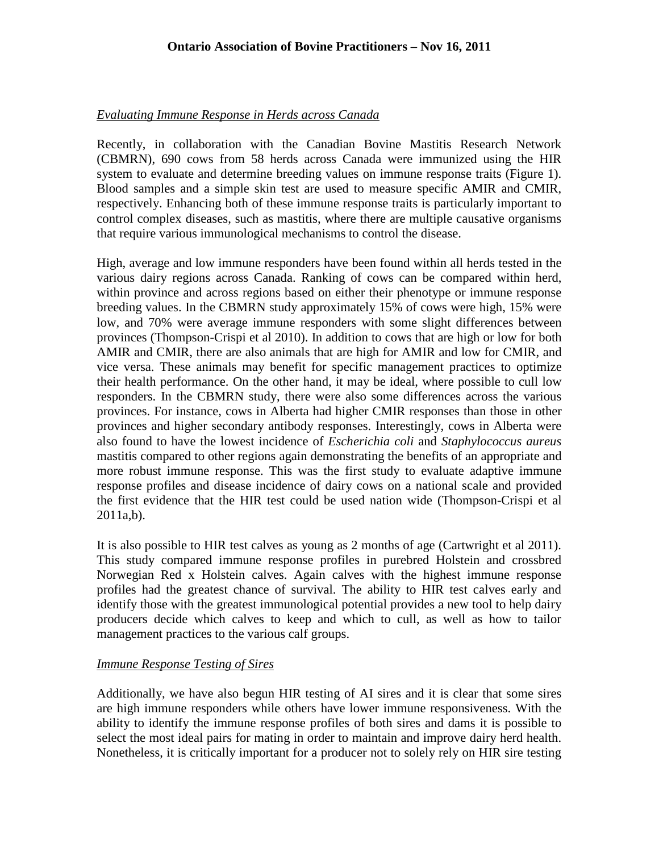# *Evaluating Immune Response in Herds across Canada*

Recently, in collaboration with the Canadian Bovine Mastitis Research Network (CBMRN), 690 cows from 58 herds across Canada were immunized using the HIR system to evaluate and determine breeding values on immune response traits (Figure 1). Blood samples and a simple skin test are used to measure specific AMIR and CMIR, respectively. Enhancing both of these immune response traits is particularly important to control complex diseases, such as mastitis, where there are multiple causative organisms that require various immunological mechanisms to control the disease.

High, average and low immune responders have been found within all herds tested in the various dairy regions across Canada. Ranking of cows can be compared within herd, within province and across regions based on either their phenotype or immune response breeding values. In the CBMRN study approximately 15% of cows were high, 15% were low, and 70% were average immune responders with some slight differences between provinces (Thompson-Crispi et al 2010). In addition to cows that are high or low for both AMIR and CMIR, there are also animals that are high for AMIR and low for CMIR, and vice versa. These animals may benefit for specific management practices to optimize their health performance. On the other hand, it may be ideal, where possible to cull low responders. In the CBMRN study, there were also some differences across the various provinces. For instance, cows in Alberta had higher CMIR responses than those in other provinces and higher secondary antibody responses. Interestingly, cows in Alberta were also found to have the lowest incidence of *Escherichia coli* and *Staphylococcus aureus* mastitis compared to other regions again demonstrating the benefits of an appropriate and more robust immune response. This was the first study to evaluate adaptive immune response profiles and disease incidence of dairy cows on a national scale and provided the first evidence that the HIR test could be used nation wide (Thompson-Crispi et al 2011a,b).

It is also possible to HIR test calves as young as 2 months of age (Cartwright et al 2011). This study compared immune response profiles in purebred Holstein and crossbred Norwegian Red x Holstein calves. Again calves with the highest immune response profiles had the greatest chance of survival. The ability to HIR test calves early and identify those with the greatest immunological potential provides a new tool to help dairy producers decide which calves to keep and which to cull, as well as how to tailor management practices to the various calf groups.

# *Immune Response Testing of Sires*

Additionally, we have also begun HIR testing of AI sires and it is clear that some sires are high immune responders while others have lower immune responsiveness. With the ability to identify the immune response profiles of both sires and dams it is possible to select the most ideal pairs for mating in order to maintain and improve dairy herd health. Nonetheless, it is critically important for a producer not to solely rely on HIR sire testing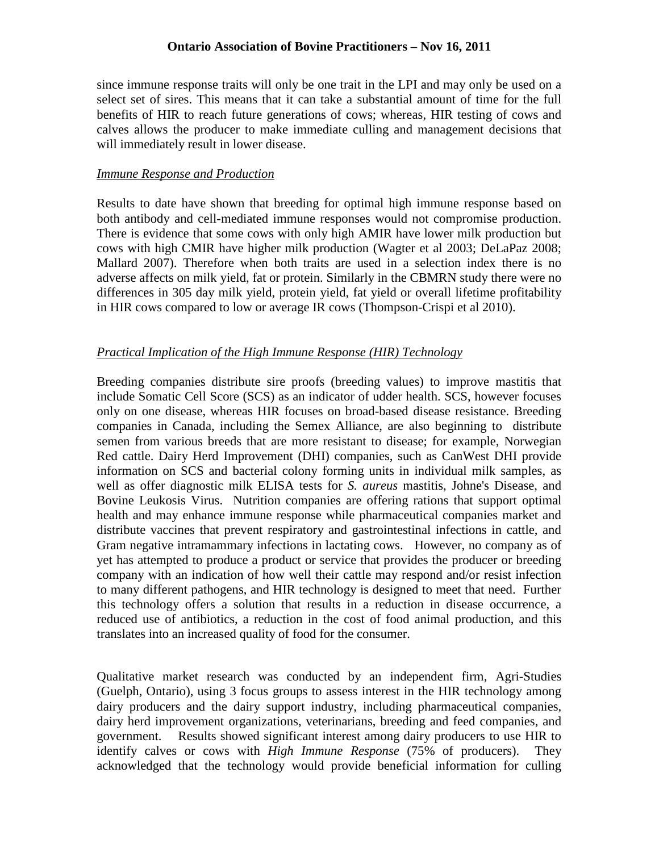### **Ontario Association of Bovine Practitioners – Nov 16, 2011**

since immune response traits will only be one trait in the LPI and may only be used on a select set of sires. This means that it can take a substantial amount of time for the full benefits of HIR to reach future generations of cows; whereas, HIR testing of cows and calves allows the producer to make immediate culling and management decisions that will immediately result in lower disease.

### *Immune Response and Production*

Results to date have shown that breeding for optimal high immune response based on both antibody and cell-mediated immune responses would not compromise production. There is evidence that some cows with only high AMIR have lower milk production but cows with high CMIR have higher milk production (Wagter et al 2003; DeLaPaz 2008; Mallard 2007). Therefore when both traits are used in a selection index there is no adverse affects on milk yield, fat or protein. Similarly in the CBMRN study there were no differences in 305 day milk yield, protein yield, fat yield or overall lifetime profitability in HIR cows compared to low or average IR cows (Thompson-Crispi et al 2010).

### *Practical Implication of the High Immune Response (HIR) Technology*

Breeding companies distribute sire proofs (breeding values) to improve mastitis that include Somatic Cell Score (SCS) as an indicator of udder health. SCS, however focuses only on one disease, whereas HIR focuses on broad-based disease resistance. Breeding companies in Canada, including the Semex Alliance, are also beginning to distribute semen from various breeds that are more resistant to disease; for example, Norwegian Red cattle. Dairy Herd Improvement (DHI) companies, such as CanWest DHI provide information on SCS and bacterial colony forming units in individual milk samples, as well as offer diagnostic milk ELISA tests for *S. aureus* mastitis, Johne's Disease, and Bovine Leukosis Virus. Nutrition companies are offering rations that support optimal health and may enhance immune response while pharmaceutical companies market and distribute vaccines that prevent respiratory and gastrointestinal infections in cattle, and Gram negative intramammary infections in lactating cows. However, no company as of yet has attempted to produce a product or service that provides the producer or breeding company with an indication of how well their cattle may respond and/or resist infection to many different pathogens, and HIR technology is designed to meet that need. Further this technology offers a solution that results in a reduction in disease occurrence, a reduced use of antibiotics, a reduction in the cost of food animal production, and this translates into an increased quality of food for the consumer.

Qualitative market research was conducted by an independent firm, Agri-Studies (Guelph, Ontario), using 3 focus groups to assess interest in the HIR technology among dairy producers and the dairy support industry, including pharmaceutical companies, dairy herd improvement organizations, veterinarians, breeding and feed companies, and government. Results showed significant interest among dairy producers to use HIR to identify calves or cows with *High Immune Response* (75% of producers). They acknowledged that the technology would provide beneficial information for culling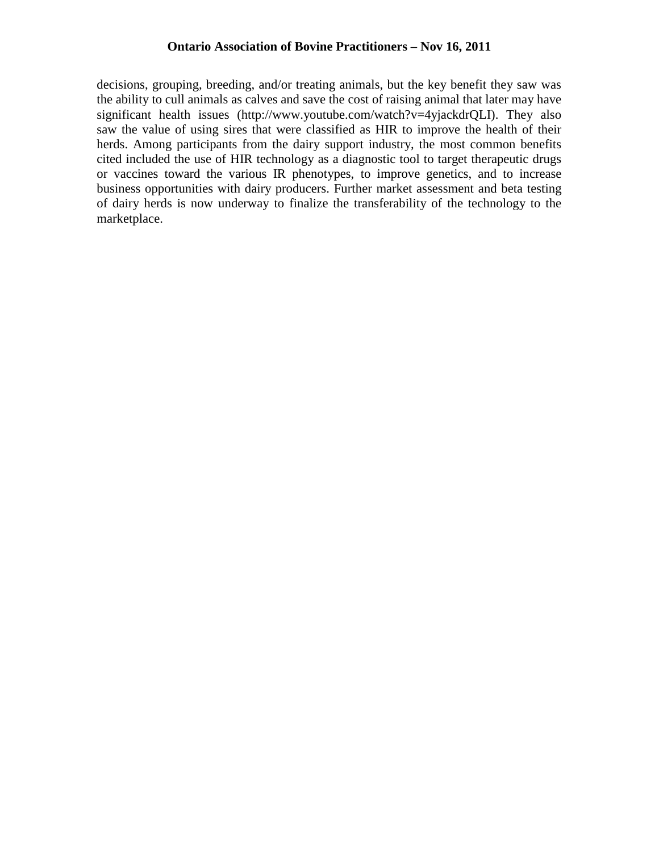decisions, grouping, breeding, and/or treating animals, but the key benefit they saw was the ability to cull animals as calves and save the cost of raising animal that later may have significant health issues (http://www.youtube.com/watch?v=4yjackdrQLI). They also saw the value of using sires that were classified as HIR to improve the health of their herds. Among participants from the dairy support industry, the most common benefits cited included the use of HIR technology as a diagnostic tool to target therapeutic drugs or vaccines toward the various IR phenotypes, to improve genetics, and to increase business opportunities with dairy producers. Further market assessment and beta testing of dairy herds is now underway to finalize the transferability of the technology to the marketplace.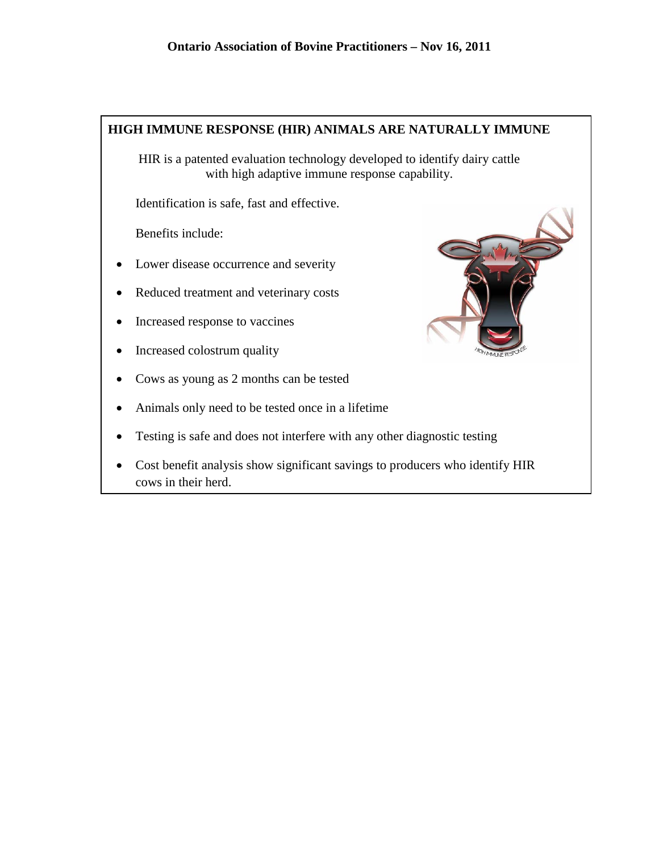

HIR is a patented evaluation technology developed to identify dairy cattle with high adaptive immune response capability.

Identification is safe, fast and effective.

Benefits include:

- Lower disease occurrence and severity
- Reduced treatment and veterinary costs
- Increased response to vaccines
- Increased colostrum quality
- Cows as young as 2 months can be tested
- Animals only need to be tested once in a lifetime
- Testing is safe and does not interfere with any other diagnostic testing
- Cost benefit analysis show significant savings to producers who identify HIR cows in their herd.

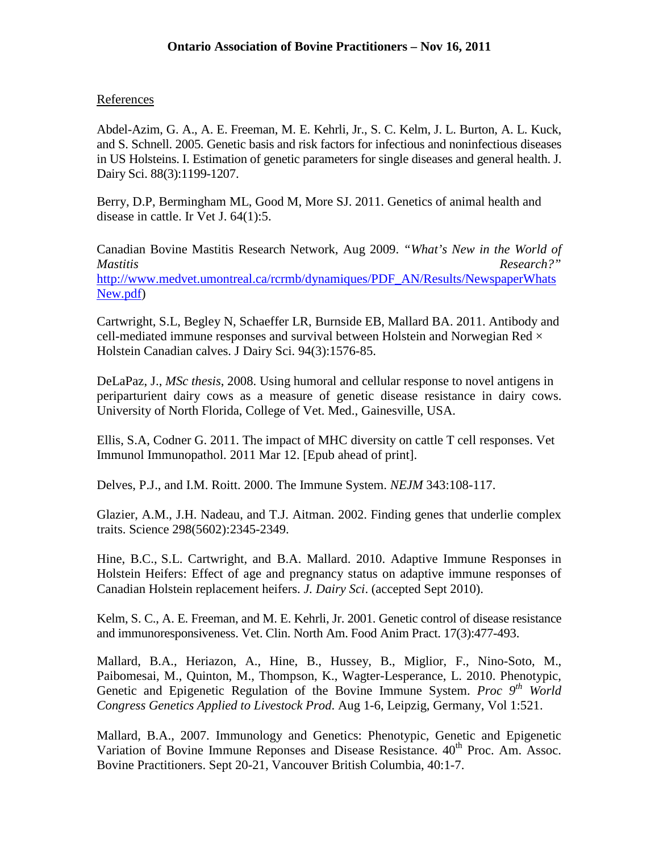# **References**

Abdel-Azim, G. A., A. E. Freeman, M. E. Kehrli, Jr., S. C. Kelm, J. L. Burton, A. L. Kuck, and S. Schnell. 2005. Genetic basis and risk factors for infectious and noninfectious diseases in US Holsteins. I. Estimation of genetic parameters for single diseases and general health. J. Dairy Sci. 88(3):1199-1207.

Berry, D.P, Bermingham ML, Good M, More SJ. 2011. [Genetics of animal health and](http://www.ncbi.nlm.nih.gov/pubmed/21777492)  disease [in cattle.](http://www.ncbi.nlm.nih.gov/pubmed/21777492) Ir Vet J. 64(1):5.

Canadian Bovine Mastitis Research Network, Aug 2009. *"What's New in the World of Mastitis Research?"* [http://www.medvet.umontreal.ca/rcrmb/dynamiques/PDF\\_AN/Results/NewspaperWhats](http://www.medvet.umontreal.ca/rcrmb/dynamiques/PDF_AN/Results/NewspaperWhatsNew.pdf) [New.pdf\)](http://www.medvet.umontreal.ca/rcrmb/dynamiques/PDF_AN/Results/NewspaperWhatsNew.pdf)

Cartwright, S.L, Begley N, Schaeffer LR, Burnside EB, Mallard BA. 2011. [Antibody and](http://www.ncbi.nlm.nih.gov/pubmed/21338823)  cell-mediated immune responses and survival between Holstein and Norwegian Red  $\times$ [Holstein Canadian calves.](http://www.ncbi.nlm.nih.gov/pubmed/21338823) J Dairy Sci. 94(3):1576-85.

DeLaPaz, J., *MSc thesis*, 2008. Using humoral and cellular response to novel antigens in periparturient dairy cows as a measure of genetic disease resistance in dairy cows. University of North Florida, College of Vet. Med., Gainesville, USA.

Ellis, S.A, Codner G. 2011. [The impact of MHC](http://www.ncbi.nlm.nih.gov/pubmed/21466899) diversity on cattle T cell responses. Vet Immunol Immunopathol. 2011 Mar 12. [Epub ahead of print].

Delves, P.J., and I.M. Roitt. 2000. The Immune System. *NEJM* 343:108-117.

Glazier, A.M., J.H. Nadeau, and T.J. Aitman. 2002. Finding genes that underlie complex traits. Science 298(5602):2345-2349.

Hine, B.C., S.L. Cartwright, and B.A. Mallard. 2010. Adaptive Immune Responses in Holstein Heifers: Effect of age and pregnancy status on adaptive immune responses of Canadian Holstein replacement heifers. *J. Dairy Sci*. (accepted Sept 2010).

Kelm, S. C., A. E. Freeman, and M. E. Kehrli, Jr. 2001. Genetic control of disease resistance and immunoresponsiveness. Vet. Clin. North Am. Food Anim Pract. 17(3):477-493.

Mallard, B.A., Heriazon, A., Hine, B., Hussey, B., Miglior, F., Nino-Soto, M., Paibomesai, M., Quinton, M., Thompson, K., Wagter-Lesperance, L. 2010. Phenotypic, Genetic and Epigenetic Regulation of the Bovine Immune System. *Proc* 9<sup>th</sup> World *Congress Genetics Applied to Livestock Prod*. Aug 1-6, Leipzig, Germany, Vol 1:521.

Mallard, B.A., 2007. Immunology and Genetics: Phenotypic, Genetic and Epigenetic Variation of Bovine Immune Reponses and Disease Resistance. 40<sup>th</sup> Proc. Am. Assoc. Bovine Practitioners. Sept 20-21, Vancouver British Columbia, 40:1-7.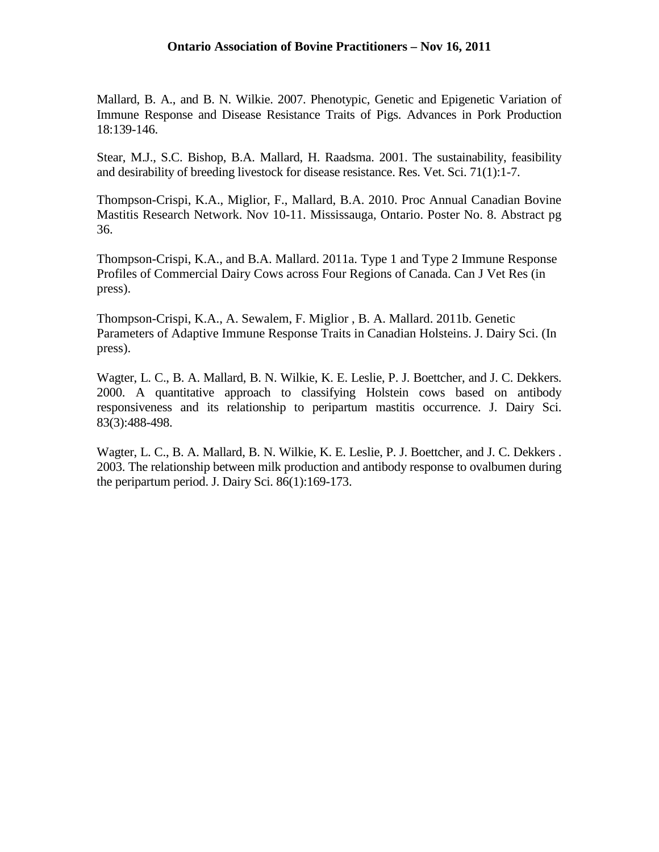### **Ontario Association of Bovine Practitioners – Nov 16, 2011**

Mallard, B. A., and B. N. Wilkie. 2007. Phenotypic, Genetic and Epigenetic Variation of Immune Response and Disease Resistance Traits of Pigs. Advances in Pork Production 18:139-146.

Stear, M.J., S.C. Bishop, B.A. Mallard, H. Raadsma. 2001. The sustainability, feasibility and desirability of breeding livestock for disease resistance. Res. Vet. Sci. 71(1):1-7.

Thompson-Crispi, K.A., Miglior, F., Mallard, B.A. 2010. Proc Annual Canadian Bovine Mastitis Research Network. Nov 10-11. Mississauga, Ontario. Poster No. 8. Abstract pg 36.

Thompson-Crispi, K.A., and B.A. Mallard. 2011a. Type 1 and Type 2 Immune Response Profiles of Commercial Dairy Cows across Four Regions of Canada. Can J Vet Res (in press).

Thompson-Crispi, K.A., A. Sewalem, F. Miglior , B. A. Mallard. 2011b. Genetic Parameters of Adaptive Immune Response Traits in Canadian Holsteins. J. Dairy Sci. (In press).

Wagter, L. C., B. A. Mallard, B. N. Wilkie, K. E. Leslie, P. J. Boettcher, and J. C. Dekkers. 2000. A quantitative approach to classifying Holstein cows based on antibody responsiveness and its relationship to peripartum mastitis occurrence. J. Dairy Sci. 83(3):488-498.

Wagter, L. C., B. A. Mallard, B. N. Wilkie, K. E. Leslie, P. J. Boettcher, and J. C. Dekkers . 2003. The relationship between milk production and antibody response to ovalbumen during the peripartum period. J. Dairy Sci. 86(1):169-173.